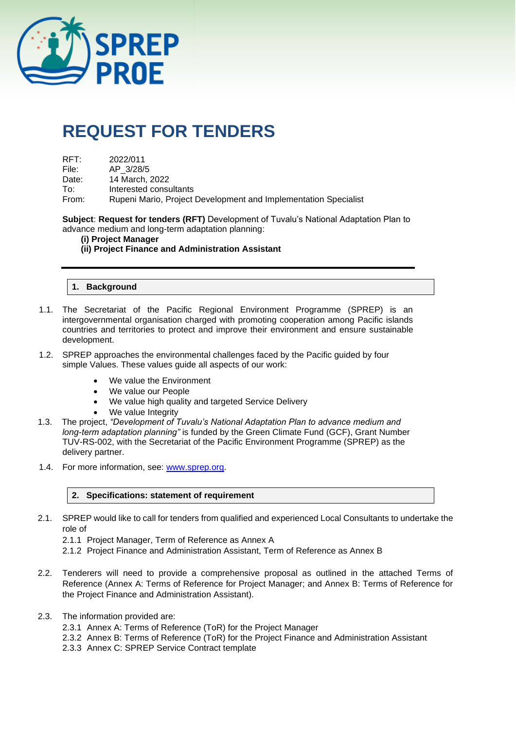

# **REQUEST FOR TENDERS**

| RFT:  | 2022/011                                                        |
|-------|-----------------------------------------------------------------|
| File: | AP 3/28/5                                                       |
| Date: | 14 March, 2022                                                  |
| To:   | Interested consultants                                          |
| From: | Rupeni Mario, Project Development and Implementation Specialist |
|       |                                                                 |

**Subject**: **Request for tenders (RFT)** Development of Tuvalu's National Adaptation Plan to advance medium and long-term adaptation planning:

#### **(i) Project Manager**

## **(ii) Project Finance and Administration Assistant**

## **1. Background**

- 1.1. The Secretariat of the Pacific Regional Environment Programme (SPREP) is an intergovernmental organisation charged with promoting cooperation among Pacific islands countries and territories to protect and improve their environment and ensure sustainable development.
- 1.2. SPREP approaches the environmental challenges faced by the Pacific guided by four simple Values. These values guide all aspects of our work:
	- We value the Environment
	- We value our People
	- We value high quality and targeted Service Delivery
	- We value Integrity
- 1.3. The project, *"Development of Tuvalu's National Adaptation Plan to advance medium and long-term adaptation planning"* is funded by the Green Climate Fund (GCF), Grant Number TUV-RS-002, with the Secretariat of the Pacific Environment Programme (SPREP) as the delivery partner.
- 1.4. For more information, see: [www.sprep.org.](http://www.sprep.org/)

#### **2. Specifications: statement of requirement**

- 2.1. SPREP would like to call for tenders from qualified and experienced Local Consultants to undertake the role of
	- 2.1.1 Project Manager, Term of Reference as Annex A
	- 2.1.2 Project Finance and Administration Assistant, Term of Reference as Annex B
- 2.2. Tenderers will need to provide a comprehensive proposal as outlined in the attached Terms of Reference (Annex A: Terms of Reference for Project Manager; and Annex B: Terms of Reference for the Project Finance and Administration Assistant).
- 2.3. The information provided are:
	- 2.3.1 Annex A: Terms of Reference (ToR) for the Project Manager
	- 2.3.2 Annex B: Terms of Reference (ToR) for the Project Finance and Administration Assistant
	- 2.3.3 Annex C: SPREP Service Contract template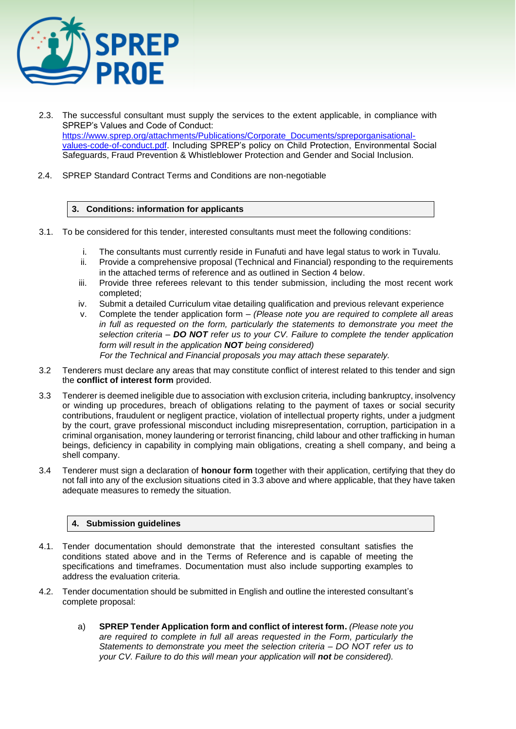

- 2.3. The successful consultant must supply the services to the extent applicable, in compliance with SPREP's Values and Code of Conduct: [https://www.sprep.org/attachments/Publications/Corporate\\_Documents/spreporganisational](https://www.sprep.org/attachments/Publications/Corporate_Documents/spreporganisational-values-code-of-conduct.pdf)[values-code-of-conduct.pdf.](https://www.sprep.org/attachments/Publications/Corporate_Documents/spreporganisational-values-code-of-conduct.pdf) Including SPREP's policy on Child Protection, Environmental Social Safeguards, Fraud Prevention & Whistleblower Protection and Gender and Social Inclusion.
- 2.4. SPREP Standard Contract Terms and Conditions are non-negotiable

#### **3. Conditions: information for applicants**

- 3.1. To be considered for this tender, interested consultants must meet the following conditions:
	- i. The consultants must currently reside in Funafuti and have legal status to work in Tuvalu.
	- ii. Provide a comprehensive proposal (Technical and Financial) responding to the requirements in the attached terms of reference and as outlined in Section 4 below.
	- iii. Provide three referees relevant to this tender submission, including the most recent work completed;
	- iv. Submit a detailed Curriculum vitae detailing qualification and previous relevant experience
	- v. Complete the tender application form *(Please note you are required to complete all areas in full as requested on the form, particularly the statements to demonstrate you meet the selection criteria – DO NOT refer us to your CV. Failure to complete the tender application form will result in the application NOT being considered) For the Technical and Financial proposals you may attach these separately.*
- 3.2 Tenderers must declare any areas that may constitute conflict of interest related to this tender and sign the **conflict of interest form** provided.
- 3.3 Tenderer is deemed ineligible due to association with exclusion criteria, including bankruptcy, insolvency or winding up procedures, breach of obligations relating to the payment of taxes or social security contributions, fraudulent or negligent practice, violation of intellectual property rights, under a judgment by the court, grave professional misconduct including misrepresentation, corruption, participation in a criminal organisation, money laundering or terrorist financing, child labour and other trafficking in human beings, deficiency in capability in complying main obligations, creating a shell company, and being a shell company.
- 3.4 Tenderer must sign a declaration of **honour form** together with their application, certifying that they do not fall into any of the exclusion situations cited in 3.3 above and where applicable, that they have taken adequate measures to remedy the situation.

#### **4. Submission guidelines**

- 4.1. Tender documentation should demonstrate that the interested consultant satisfies the conditions stated above and in the Terms of Reference and is capable of meeting the specifications and timeframes. Documentation must also include supporting examples to address the evaluation criteria.
- 4.2. Tender documentation should be submitted in English and outline the interested consultant's complete proposal:
	- a) **SPREP Tender Application form and conflict of interest form.** *(Please note you are required to complete in full all areas requested in the Form, particularly the Statements to demonstrate you meet the selection criteria – DO NOT refer us to your CV. Failure to do this will mean your application will not be considered).*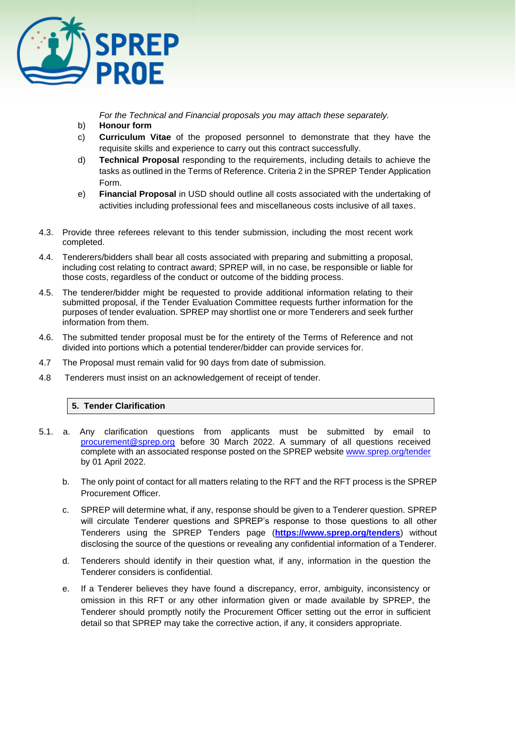

*For the Technical and Financial proposals you may attach these separately.* 

- b) **Honour form**
- c) **Curriculum Vitae** of the proposed personnel to demonstrate that they have the requisite skills and experience to carry out this contract successfully.
- d) **Technical Proposal** responding to the requirements, including details to achieve the tasks as outlined in the Terms of Reference. Criteria 2 in the SPREP Tender Application Form.
- e) **Financial Proposal** in USD should outline all costs associated with the undertaking of activities including professional fees and miscellaneous costs inclusive of all taxes.
- 4.3. Provide three referees relevant to this tender submission, including the most recent work completed.
- 4.4. Tenderers/bidders shall bear all costs associated with preparing and submitting a proposal, including cost relating to contract award; SPREP will, in no case, be responsible or liable for those costs, regardless of the conduct or outcome of the bidding process.
- 4.5. The tenderer/bidder might be requested to provide additional information relating to their submitted proposal, if the Tender Evaluation Committee requests further information for the purposes of tender evaluation. SPREP may shortlist one or more Tenderers and seek further information from them.
- 4.6. The submitted tender proposal must be for the entirety of the Terms of Reference and not divided into portions which a potential tenderer/bidder can provide services for.
- 4.7 The Proposal must remain valid for 90 days from date of submission.
- 4.8 Tenderers must insist on an acknowledgement of receipt of tender.

# **5. Tender Clarification**

- 5.1. a. Any clarification questions from applicants must be submitted by email to [procurement@sprep.org](mailto:procurement@sprep.org) before 30 March 2022. A summary of all questions received complete with an associated response posted on the SPREP website [www.sprep.org/tender](http://www.sprep.org/tender) by 01 April 2022.
	- b. The only point of contact for all matters relating to the RFT and the RFT process is the SPREP Procurement Officer.
	- c. SPREP will determine what, if any, response should be given to a Tenderer question. SPREP will circulate Tenderer questions and SPREP's response to those questions to all other Tenderers using the SPREP Tenders page (**<https://www.sprep.org/tenders>**) without disclosing the source of the questions or revealing any confidential information of a Tenderer.
	- d. Tenderers should identify in their question what, if any, information in the question the Tenderer considers is confidential.
	- e. If a Tenderer believes they have found a discrepancy, error, ambiguity, inconsistency or omission in this RFT or any other information given or made available by SPREP, the Tenderer should promptly notify the Procurement Officer setting out the error in sufficient detail so that SPREP may take the corrective action, if any, it considers appropriate.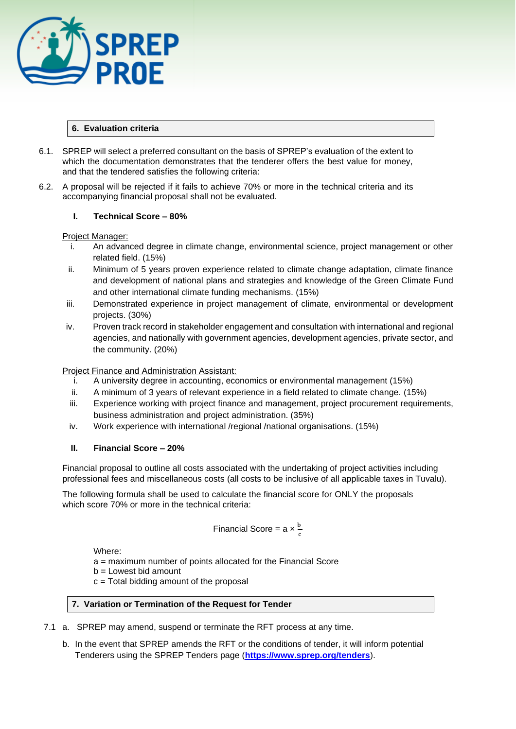

### **6. Evaluation criteria**

- 6.1. SPREP will select a preferred consultant on the basis of SPREP's evaluation of the extent to which the documentation demonstrates that the tenderer offers the best value for money, and that the tendered satisfies the following criteria:
- 6.2. A proposal will be rejected if it fails to achieve 70% or more in the technical criteria and its accompanying financial proposal shall not be evaluated.

## **I. Technical Score – 80%**

#### Project Manager:

- i. An advanced degree in climate change, environmental science, project management or other related field. (15%)
- ii. Minimum of 5 years proven experience related to climate change adaptation, climate finance and development of national plans and strategies and knowledge of the Green Climate Fund and other international climate funding mechanisms. (15%)
- iii. Demonstrated experience in project management of climate, environmental or development projects. (30%)
- iv. Proven track record in stakeholder engagement and consultation with international and regional agencies, and nationally with government agencies, development agencies, private sector, and the community. (20%)

Project Finance and Administration Assistant:

- i. A university degree in accounting, economics or environmental management (15%)
- ii. A minimum of 3 years of relevant experience in a field related to climate change. (15%)
- iii. Experience working with project finance and management, project procurement requirements, business administration and project administration. (35%)
- iv. Work experience with international /regional /national organisations. (15%)

# **II. Financial Score – 20%**

Financial proposal to outline all costs associated with the undertaking of project activities including professional fees and miscellaneous costs (all costs to be inclusive of all applicable taxes in Tuvalu).

The following formula shall be used to calculate the financial score for ONLY the proposals which score 70% or more in the technical criteria:

Financial Score = 
$$
a \times \frac{b}{c}
$$

Where:

a = maximum number of points allocated for the Financial Score

b = Lowest bid amount

c = Total bidding amount of the proposal

## **7. Variation or Termination of the Request for Tender**

- 7.1 a. SPREP may amend, suspend or terminate the RFT process at any time.
	- b. In the event that SPREP amends the RFT or the conditions of tender, it will inform potential Tenderers using the SPREP Tenders page (**<https://www.sprep.org/tenders>**).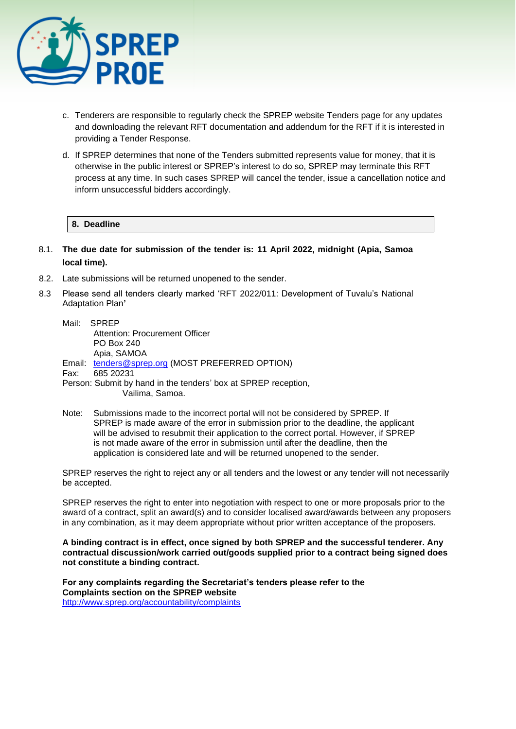

- c. Tenderers are responsible to regularly check the SPREP website Tenders page for any updates and downloading the relevant RFT documentation and addendum for the RFT if it is interested in providing a Tender Response.
- d. If SPREP determines that none of the Tenders submitted represents value for money, that it is otherwise in the public interest or SPREP's interest to do so, SPREP may terminate this RFT process at any time. In such cases SPREP will cancel the tender, issue a cancellation notice and inform unsuccessful bidders accordingly.

#### **8. Deadline**

- 8.1. **The due date for submission of the tender is: 11 April 2022, midnight (Apia, Samoa local time).**
- 8.2. Late submissions will be returned unopened to the sender.
- 8.3 Please send all tenders clearly marked 'RFT 2022/011: Development of Tuvalu's National Adaptation Plan**'**
	- Mail: SPREP Attention: Procurement Officer PO Box 240 Apia, SAMOA Email: [tenders@sprep.org](mailto:tenders@sprep.org) (MOST PREFERRED OPTION)
	- Fax: 685 20231
	- Person: Submit by hand in the tenders' box at SPREP reception, Vailima, Samoa.
	- Note: Submissions made to the incorrect portal will not be considered by SPREP. If SPREP is made aware of the error in submission prior to the deadline, the applicant will be advised to resubmit their application to the correct portal. However, if SPREP is not made aware of the error in submission until after the deadline, then the application is considered late and will be returned unopened to the sender.

SPREP reserves the right to reject any or all tenders and the lowest or any tender will not necessarily be accepted.

SPREP reserves the right to enter into negotiation with respect to one or more proposals prior to the award of a contract, split an award(s) and to consider localised award/awards between any proposers in any combination, as it may deem appropriate without prior written acceptance of the proposers.

**A binding contract is in effect, once signed by both SPREP and the successful tenderer. Any contractual discussion/work carried out/goods supplied prior to a contract being signed does not constitute a binding contract.** 

**For any complaints regarding the Secretariat's tenders please refer to the Complaints section on the SPREP website**  <http://www.sprep.org/accountability/complaints>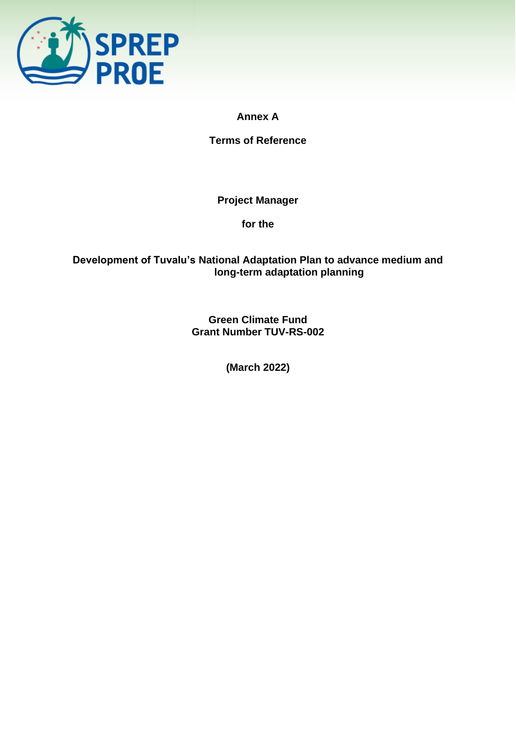

**Annex A**

**Terms of Reference**

**Project Manager**

**for the**

# **Development of Tuvalu's National Adaptation Plan to advance medium and long-term adaptation planning**

**Green Climate Fund Grant Number TUV-RS-002**

**(March 2022)**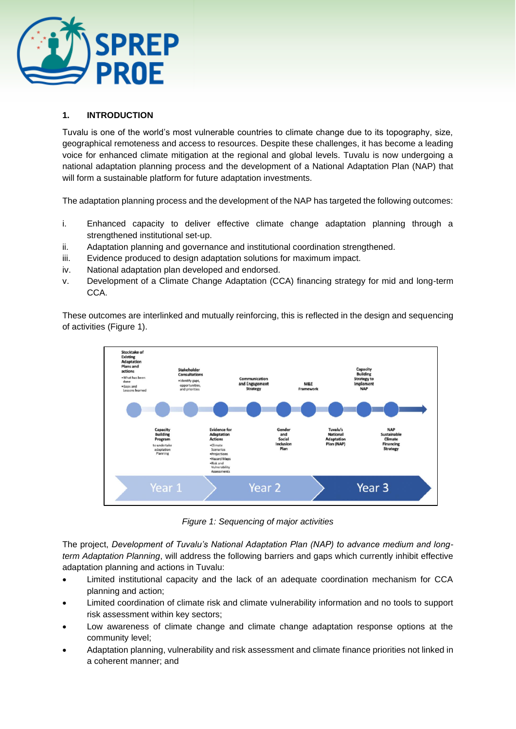

# **1. INTRODUCTION**

Tuvalu is one of the world's most vulnerable countries to climate change due to its topography, size, geographical remoteness and access to resources. Despite these challenges, it has become a leading voice for enhanced climate mitigation at the regional and global levels. Tuvalu is now undergoing a national adaptation planning process and the development of a National Adaptation Plan (NAP) that will form a sustainable platform for future adaptation investments.

The adaptation planning process and the development of the NAP has targeted the following outcomes:

- i. Enhanced capacity to deliver effective climate change adaptation planning through a strengthened institutional set-up.
- ii. Adaptation planning and governance and institutional coordination strengthened.
- iii. Evidence produced to design adaptation solutions for maximum impact.
- iv. National adaptation plan developed and endorsed.
- v. Development of a Climate Change Adaptation (CCA) financing strategy for mid and long-term CCA.

These outcomes are interlinked and mutually reinforcing, this is reflected in the design and sequencing of activities (Figure 1).



*Figure 1: Sequencing of major activities*

The project, *Development of Tuvalu's National Adaptation Plan (NAP) to advance medium and longterm Adaptation Planning*, will address the following barriers and gaps which currently inhibit effective adaptation planning and actions in Tuvalu:

- Limited institutional capacity and the lack of an adequate coordination mechanism for CCA planning and action;
- Limited coordination of climate risk and climate vulnerability information and no tools to support risk assessment within key sectors;
- Low awareness of climate change and climate change adaptation response options at the community level;
- Adaptation planning, vulnerability and risk assessment and climate finance priorities not linked in a coherent manner; and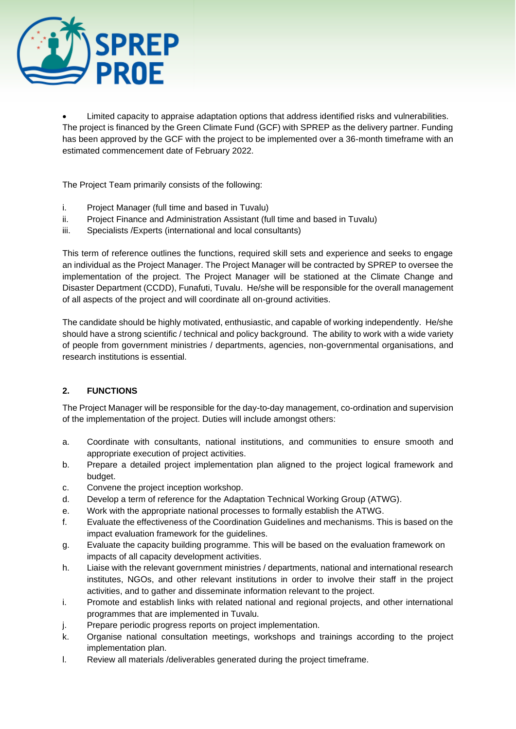

• Limited capacity to appraise adaptation options that address identified risks and vulnerabilities. The project is financed by the Green Climate Fund (GCF) with SPREP as the delivery partner. Funding has been approved by the GCF with the project to be implemented over a 36-month timeframe with an estimated commencement date of February 2022.

The Project Team primarily consists of the following:

- i. Project Manager (full time and based in Tuvalu)
- ii. Project Finance and Administration Assistant (full time and based in Tuvalu)
- iii. Specialists /Experts (international and local consultants)

This term of reference outlines the functions, required skill sets and experience and seeks to engage an individual as the Project Manager. The Project Manager will be contracted by SPREP to oversee the implementation of the project. The Project Manager will be stationed at the Climate Change and Disaster Department (CCDD), Funafuti, Tuvalu. He/she will be responsible for the overall management of all aspects of the project and will coordinate all on-ground activities.

The candidate should be highly motivated, enthusiastic, and capable of working independently. He/she should have a strong scientific / technical and policy background. The ability to work with a wide variety of people from government ministries / departments, agencies, non-governmental organisations, and research institutions is essential.

# **2. FUNCTIONS**

The Project Manager will be responsible for the day-to-day management, co-ordination and supervision of the implementation of the project. Duties will include amongst others:

- a. Coordinate with consultants, national institutions, and communities to ensure smooth and appropriate execution of project activities.
- b. Prepare a detailed project implementation plan aligned to the project logical framework and budget.
- c. Convene the project inception workshop.
- d. Develop a term of reference for the Adaptation Technical Working Group (ATWG).
- e. Work with the appropriate national processes to formally establish the ATWG.
- f. Evaluate the effectiveness of the Coordination Guidelines and mechanisms. This is based on the impact evaluation framework for the guidelines.
- g. Evaluate the capacity building programme. This will be based on the evaluation framework on impacts of all capacity development activities.
- h. Liaise with the relevant government ministries / departments, national and international research institutes, NGOs, and other relevant institutions in order to involve their staff in the project activities, and to gather and disseminate information relevant to the project.
- i. Promote and establish links with related national and regional projects, and other international programmes that are implemented in Tuvalu.
- j. Prepare periodic progress reports on project implementation.
- k. Organise national consultation meetings, workshops and trainings according to the project implementation plan.
- l. Review all materials /deliverables generated during the project timeframe.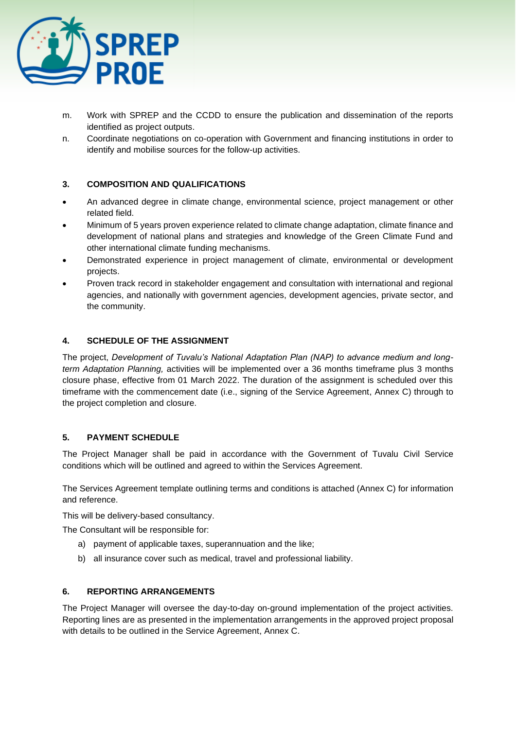

- m. Work with SPREP and the CCDD to ensure the publication and dissemination of the reports identified as project outputs.
- n. Coordinate negotiations on co-operation with Government and financing institutions in order to identify and mobilise sources for the follow-up activities.

# **3. COMPOSITION AND QUALIFICATIONS**

- An advanced degree in climate change, environmental science, project management or other related field.
- Minimum of 5 years proven experience related to climate change adaptation, climate finance and development of national plans and strategies and knowledge of the Green Climate Fund and other international climate funding mechanisms.
- Demonstrated experience in project management of climate, environmental or development projects.
- Proven track record in stakeholder engagement and consultation with international and regional agencies, and nationally with government agencies, development agencies, private sector, and the community.

## **4. SCHEDULE OF THE ASSIGNMENT**

The project, *Development of Tuvalu's National Adaptation Plan (NAP) to advance medium and longterm Adaptation Planning,* activities will be implemented over a 36 months timeframe plus 3 months closure phase, effective from 01 March 2022. The duration of the assignment is scheduled over this timeframe with the commencement date (i.e., signing of the Service Agreement, Annex C) through to the project completion and closure.

#### **5. PAYMENT SCHEDULE**

The Project Manager shall be paid in accordance with the Government of Tuvalu Civil Service conditions which will be outlined and agreed to within the Services Agreement.

The Services Agreement template outlining terms and conditions is attached (Annex C) for information and reference.

This will be delivery-based consultancy.

The Consultant will be responsible for:

- a) payment of applicable taxes, superannuation and the like;
- b) all insurance cover such as medical, travel and professional liability.

#### **6. REPORTING ARRANGEMENTS**

The Project Manager will oversee the day-to-day on-ground implementation of the project activities. Reporting lines are as presented in the implementation arrangements in the approved project proposal with details to be outlined in the Service Agreement, Annex C.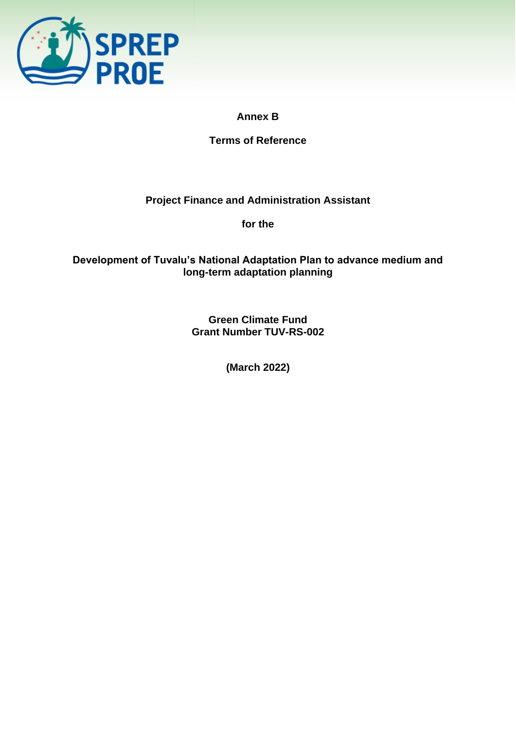

# **Annex B**

**Terms of Reference**

# **Project Finance and Administration Assistant**

**for the**

# **Development of Tuvalu's National Adaptation Plan to advance medium and long-term adaptation planning**

**Green Climate Fund Grant Number TUV-RS-002**

**(March 2022)**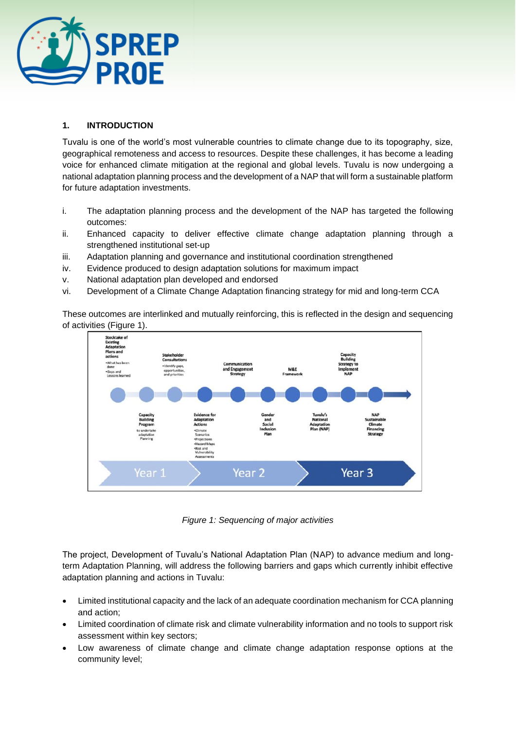

# **1. INTRODUCTION**

Tuvalu is one of the world's most vulnerable countries to climate change due to its topography, size, geographical remoteness and access to resources. Despite these challenges, it has become a leading voice for enhanced climate mitigation at the regional and global levels. Tuvalu is now undergoing a national adaptation planning process and the development of a NAP that will form a sustainable platform for future adaptation investments.

- i. The adaptation planning process and the development of the NAP has targeted the following outcomes:
- ii. Enhanced capacity to deliver effective climate change adaptation planning through a strengthened institutional set-up
- iii. Adaptation planning and governance and institutional coordination strengthened
- iv. Evidence produced to design adaptation solutions for maximum impact
- v. National adaptation plan developed and endorsed
- vi. Development of a Climate Change Adaptation financing strategy for mid and long-term CCA

These outcomes are interlinked and mutually reinforcing, this is reflected in the design and sequencing of activities (Figure 1).



*Figure 1: Sequencing of major activities*

The project, Development of Tuvalu's National Adaptation Plan (NAP) to advance medium and longterm Adaptation Planning, will address the following barriers and gaps which currently inhibit effective adaptation planning and actions in Tuvalu:

- Limited institutional capacity and the lack of an adequate coordination mechanism for CCA planning and action;
- Limited coordination of climate risk and climate vulnerability information and no tools to support risk assessment within key sectors;
- Low awareness of climate change and climate change adaptation response options at the community level;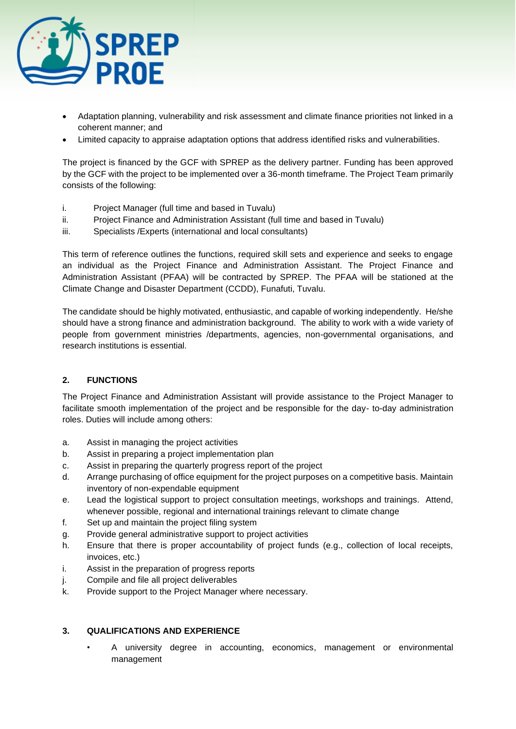

- Adaptation planning, vulnerability and risk assessment and climate finance priorities not linked in a coherent manner; and
- Limited capacity to appraise adaptation options that address identified risks and vulnerabilities.

The project is financed by the GCF with SPREP as the delivery partner. Funding has been approved by the GCF with the project to be implemented over a 36-month timeframe. The Project Team primarily consists of the following:

- i. Project Manager (full time and based in Tuvalu)
- ii. Project Finance and Administration Assistant (full time and based in Tuvalu)
- iii. Specialists /Experts (international and local consultants)

This term of reference outlines the functions, required skill sets and experience and seeks to engage an individual as the Project Finance and Administration Assistant. The Project Finance and Administration Assistant (PFAA) will be contracted by SPREP. The PFAA will be stationed at the Climate Change and Disaster Department (CCDD), Funafuti, Tuvalu.

The candidate should be highly motivated, enthusiastic, and capable of working independently. He/she should have a strong finance and administration background. The ability to work with a wide variety of people from government ministries /departments, agencies, non-governmental organisations, and research institutions is essential.

# **2. FUNCTIONS**

The Project Finance and Administration Assistant will provide assistance to the Project Manager to facilitate smooth implementation of the project and be responsible for the day- to-day administration roles. Duties will include among others:

- a. Assist in managing the project activities
- b. Assist in preparing a project implementation plan
- c. Assist in preparing the quarterly progress report of the project
- d. Arrange purchasing of office equipment for the project purposes on a competitive basis. Maintain inventory of non-expendable equipment
- e. Lead the logistical support to project consultation meetings, workshops and trainings. Attend, whenever possible, regional and international trainings relevant to climate change
- f. Set up and maintain the project filing system
- g. Provide general administrative support to project activities
- h. Ensure that there is proper accountability of project funds (e.g., collection of local receipts, invoices, etc.)
- i. Assist in the preparation of progress reports
- j. Compile and file all project deliverables
- k. Provide support to the Project Manager where necessary.

#### **3. QUALIFICATIONS AND EXPERIENCE**

• A university degree in accounting, economics, management or environmental management